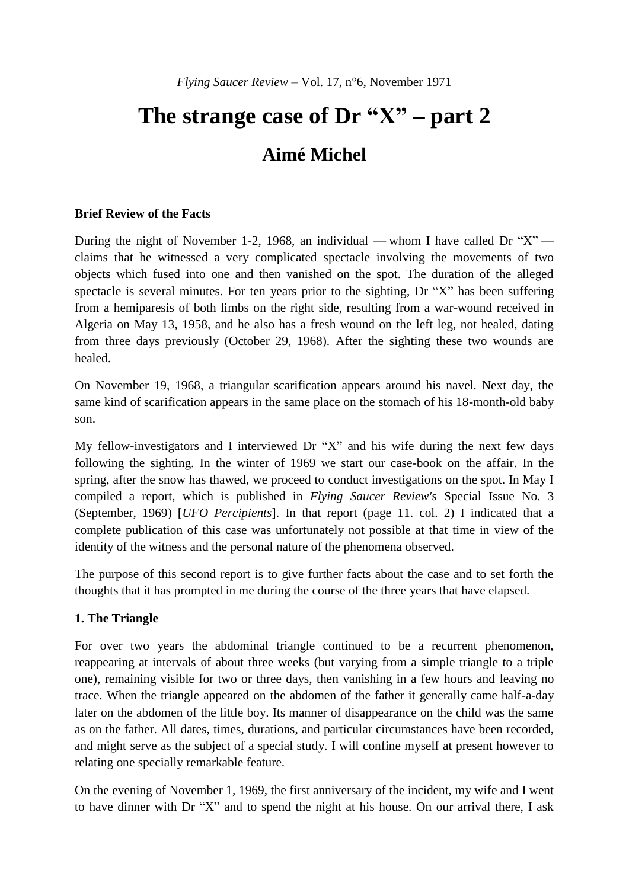# **The strange case of Dr "X" – part 2 Aimé Michel**

#### **Brief Review of the Facts**

During the night of November 1-2, 1968, an individual — whom I have called Dr " $X$ " claims that he witnessed a very complicated spectacle involving the movements of two objects which fused into one and then vanished on the spot. The duration of the alleged spectacle is several minutes. For ten years prior to the sighting, Dr "X" has been suffering from a hemiparesis of both limbs on the right side, resulting from a war-wound received in Algeria on May 13, 1958, and he also has a fresh wound on the left leg, not healed, dating from three days previously (October 29, 1968). After the sighting these two wounds are healed.

On November 19, 1968, a triangular scarification appears around his navel. Next day, the same kind of scarification appears in the same place on the stomach of his 18-month-old baby son.

My fellow-investigators and I interviewed Dr "X" and his wife during the next few days following the sighting. In the winter of 1969 we start our case-book on the affair. In the spring, after the snow has thawed, we proceed to conduct investigations on the spot. In May I compiled a report, which is published in *Flying Saucer Review's* Special Issue No. 3 (September, 1969) [*UFO Percipients*]. In that report (page 11. col. 2) I indicated that a complete publication of this case was unfortunately not possible at that time in view of the identity of the witness and the personal nature of the phenomena observed.

The purpose of this second report is to give further facts about the case and to set forth the thoughts that it has prompted in me during the course of the three years that have elapsed.

#### **1. The Triangle**

For over two years the abdominal triangle continued to be a recurrent phenomenon, reappearing at intervals of about three weeks (but varying from a simple triangle to a triple one), remaining visible for two or three days, then vanishing in a few hours and leaving no trace. When the triangle appeared on the abdomen of the father it generally came half-a-day later on the abdomen of the little boy. Its manner of disappearance on the child was the same as on the father. All dates, times, durations, and particular circumstances have been recorded, and might serve as the subject of a special study. I will confine myself at present however to relating one specially remarkable feature.

On the evening of November 1, 1969, the first anniversary of the incident, my wife and I went to have dinner with Dr "X" and to spend the night at his house. On our arrival there, I ask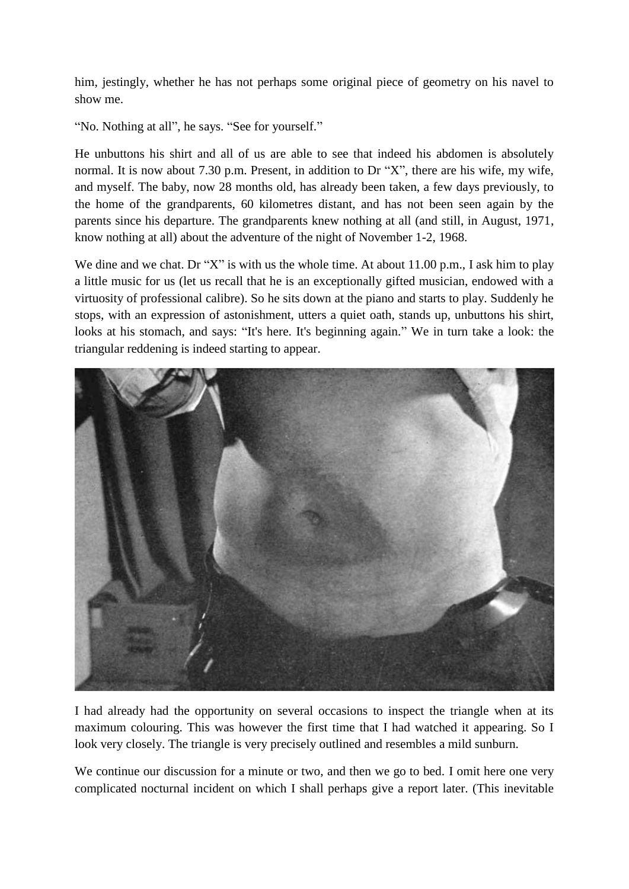him, jestingly, whether he has not perhaps some original piece of geometry on his navel to show me.

"No. Nothing at all", he says. "See for yourself."

He unbuttons his shirt and all of us are able to see that indeed his abdomen is absolutely normal. It is now about 7.30 p.m. Present, in addition to Dr "X", there are his wife, my wife, and myself. The baby, now 28 months old, has already been taken, a few days previously, to the home of the grandparents, 60 kilometres distant, and has not been seen again by the parents since his departure. The grandparents knew nothing at all (and still, in August, 1971, know nothing at all) about the adventure of the night of November 1-2, 1968.

We dine and we chat. Dr "X" is with us the whole time. At about 11.00 p.m., I ask him to play a little music for us (let us recall that he is an exceptionally gifted musician, endowed with a virtuosity of professional calibre). So he sits down at the piano and starts to play. Suddenly he stops, with an expression of astonishment, utters a quiet oath, stands up, unbuttons his shirt, looks at his stomach, and says: "It's here. It's beginning again." We in turn take a look: the triangular reddening is indeed starting to appear.



I had already had the opportunity on several occasions to inspect the triangle when at its maximum colouring. This was however the first time that I had watched it appearing. So I look very closely. The triangle is very precisely outlined and resembles a mild sunburn.

We continue our discussion for a minute or two, and then we go to bed. I omit here one very complicated nocturnal incident on which I shall perhaps give a report later. (This inevitable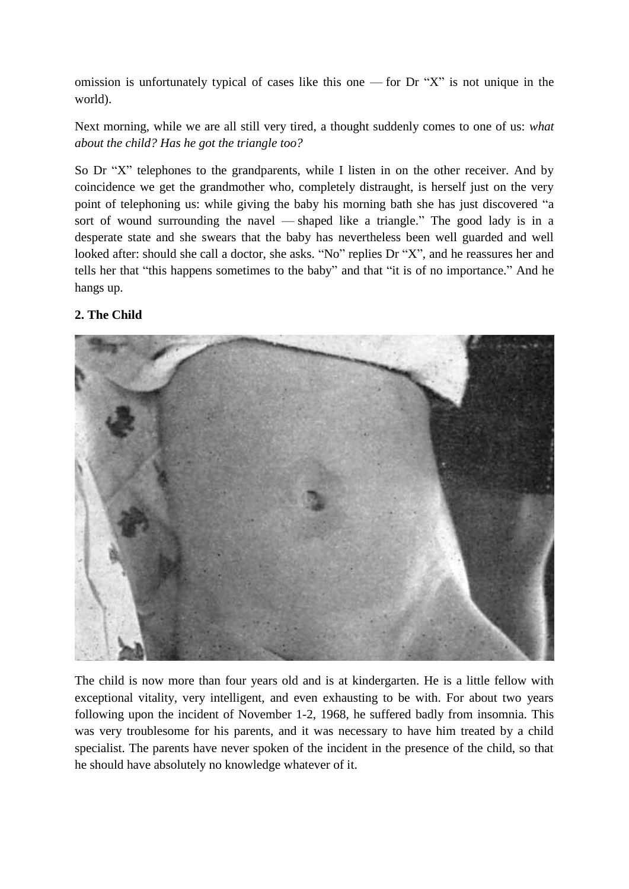omission is unfortunately typical of cases like this one — for Dr " $X$ " is not unique in the world).

Next morning, while we are all still very tired, a thought suddenly comes to one of us: *what about the child? Has he got the triangle too?*

So Dr "X" telephones to the grandparents, while I listen in on the other receiver. And by coincidence we get the grandmother who, completely distraught, is herself just on the very point of telephoning us: while giving the baby his morning bath she has just discovered "a sort of wound surrounding the navel — shaped like a triangle." The good lady is in a desperate state and she swears that the baby has nevertheless been well guarded and well looked after: should she call a doctor, she asks. "No" replies Dr "X", and he reassures her and tells her that "this happens sometimes to the baby" and that "it is of no importance." And he hangs up.

# **2. The Child**



The child is now more than four years old and is at kindergarten. He is a little fellow with exceptional vitality, very intelligent, and even exhausting to be with. For about two years following upon the incident of November 1-2, 1968, he suffered badly from insomnia. This was very troublesome for his parents, and it was necessary to have him treated by a child specialist. The parents have never spoken of the incident in the presence of the child, so that he should have absolutely no knowledge whatever of it.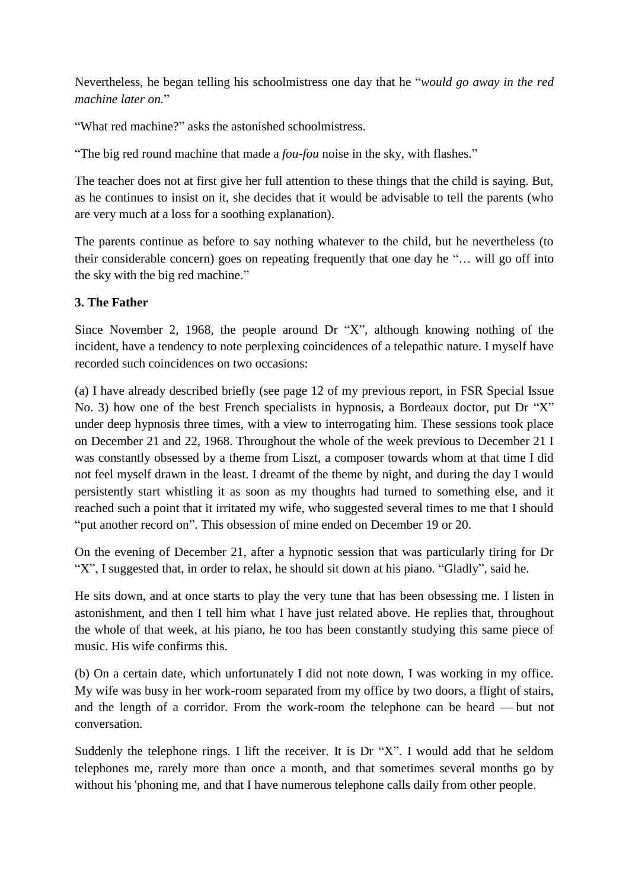Nevertheless, he began telling his schoolmistress one day that he "*would go away in the red machine later on.*"

"What red machine?" asks the astonished schoolmistress.

"The big red round machine that made a *fou-fou* noise in the sky, with flashes."

The teacher does not at first give her full attention to these things that the child is saying. But, as he continues to insist on it, she decides that it would be advisable to tell the parents (who are very much at a loss for a soothing explanation).

The parents continue as before to say nothing whatever to the child, but he nevertheless (to their considerable concern) goes on repeating frequently that one day he "… will go off into the sky with the big red machine."

#### **3. The Father**

Since November 2, 1968, the people around Dr "X", although knowing nothing of the incident, have a tendency to note perplexing coincidences of a telepathic nature. I myself have recorded such coincidences on two occasions:

(a) I have already described briefly (see page 12 of my previous report, in FSR Special Issue No. 3) how one of the best French specialists in hypnosis, a Bordeaux doctor, put Dr "X" under deep hypnosis three times, with a view to interrogating him. These sessions took place on December 21 and 22, 1968. Throughout the whole of the week previous to December 21 I was constantly obsessed by a theme from Liszt, a composer towards whom at that time I did not feel myself drawn in the least. I dreamt of the theme by night, and during the day I would persistently start whistling it as soon as my thoughts had turned to something else, and it reached such a point that it irritated my wife, who suggested several times to me that I should "put another record on". This obsession of mine ended on December 19 or 20.

On the evening of December 21, after a hypnotic session that was particularly tiring for Dr "X", I suggested that, in order to relax, he should sit down at his piano. "Gladly", said he.

He sits down, and at once starts to play the very tune that has been obsessing me. I listen in astonishment, and then I tell him what I have just related above. He replies that, throughout the whole of that week, at his piano, he too has been constantly studying this same piece of music. His wife confirms this.

(b) On a certain date, which unfortunately I did not note down, I was working in my office. My wife was busy in her work-room separated from my office by two doors, a flight of stairs, and the length of a corridor. From the work-room the telephone can be heard — but not conversation.

Suddenly the telephone rings. I lift the receiver. It is Dr "X". I would add that he seldom telephones me, rarely more than once a month, and that sometimes several months go by without his 'phoning me, and that I have numerous telephone calls daily from other people.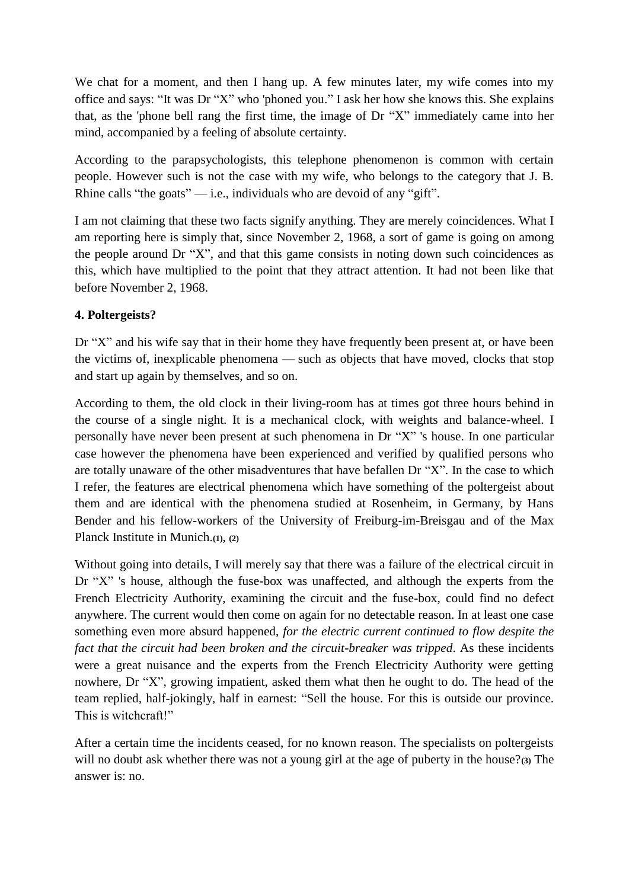We chat for a moment, and then I hang up. A few minutes later, my wife comes into my office and says: "It was Dr "X" who 'phoned you." I ask her how she knows this. She explains that, as the 'phone bell rang the first time, the image of Dr "X" immediately came into her mind, accompanied by a feeling of absolute certainty.

According to the parapsychologists, this telephone phenomenon is common with certain people. However such is not the case with my wife, who belongs to the category that J. B. Rhine calls "the goats"  $-$  i.e., individuals who are devoid of any "gift".

I am not claiming that these two facts signify anything. They are merely coincidences. What I am reporting here is simply that, since November 2, 1968, a sort of game is going on among the people around Dr "X", and that this game consists in noting down such coincidences as this, which have multiplied to the point that they attract attention. It had not been like that before November 2, 1968.

#### **4. Poltergeists?**

Dr "X" and his wife say that in their home they have frequently been present at, or have been the victims of, inexplicable phenomena — such as objects that have moved, clocks that stop and start up again by themselves, and so on.

According to them, the old clock in their living-room has at times got three hours behind in the course of a single night. It is a mechanical clock, with weights and balance-wheel. I personally have never been present at such phenomena in Dr "X" 's house. In one particular case however the phenomena have been experienced and verified by qualified persons who are totally unaware of the other misadventures that have befallen Dr "X". In the case to which I refer, the features are electrical phenomena which have something of the poltergeist about them and are identical with the phenomena studied at Rosenheim, in Germany, by Hans Bender and his fellow-workers of the University of Freiburg-im-Breisgau and of the Max Planck Institute in Munich.**(1)**, **(2)**

Without going into details, I will merely say that there was a failure of the electrical circuit in Dr "X" 's house, although the fuse-box was unaffected, and although the experts from the French Electricity Authority, examining the circuit and the fuse-box, could find no defect anywhere. The current would then come on again for no detectable reason. In at least one case something even more absurd happened, *for the electric current continued to flow despite the fact that the circuit had been broken and the circuit-breaker was tripped*. As these incidents were a great nuisance and the experts from the French Electricity Authority were getting nowhere, Dr "X", growing impatient, asked them what then he ought to do. The head of the team replied, half-jokingly, half in earnest: "Sell the house. For this is outside our province. This is witchcraft!"

After a certain time the incidents ceased, for no known reason. The specialists on poltergeists will no doubt ask whether there was not a young girl at the age of puberty in the house?**(3)** The answer is: no.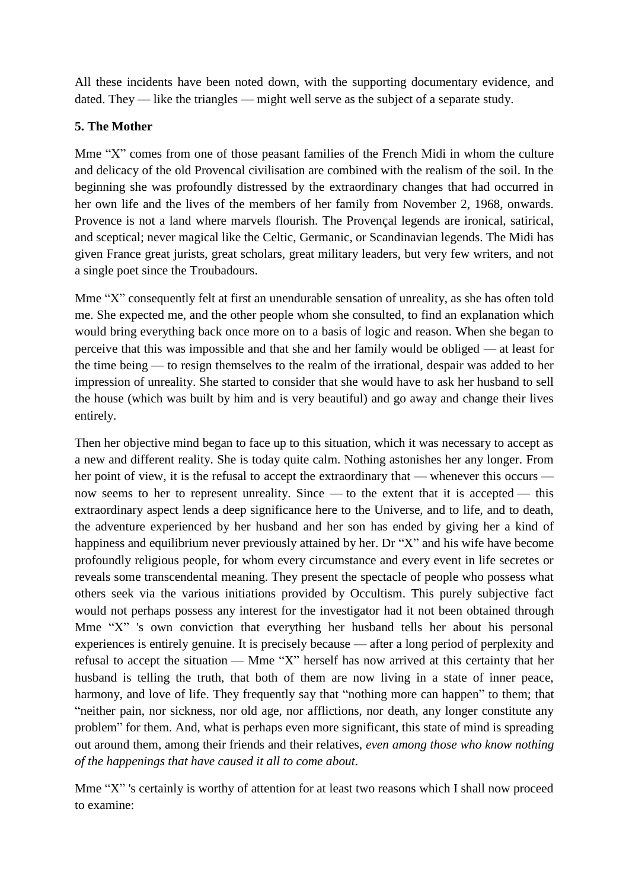All these incidents have been noted down, with the supporting documentary evidence, and dated. They — like the triangles — might well serve as the subject of a separate study.

#### **5. The Mother**

Mme "X" comes from one of those peasant families of the French Midi in whom the culture and delicacy of the old Provencal civilisation are combined with the realism of the soil. In the beginning she was profoundly distressed by the extraordinary changes that had occurred in her own life and the lives of the members of her family from November 2, 1968, onwards. Provence is not a land where marvels flourish. The Provençal legends are ironical, satirical, and sceptical; never magical like the Celtic, Germanic, or Scandinavian legends. The Midi has given France great jurists, great scholars, great military leaders, but very few writers, and not a single poet since the Troubadours.

Mme "X" consequently felt at first an unendurable sensation of unreality, as she has often told me. She expected me, and the other people whom she consulted, to find an explanation which would bring everything back once more on to a basis of logic and reason. When she began to perceive that this was impossible and that she and her family would be obliged — at least for the time being — to resign themselves to the realm of the irrational, despair was added to her impression of unreality. She started to consider that she would have to ask her husband to sell the house (which was built by him and is very beautiful) and go away and change their lives entirely.

Then her objective mind began to face up to this situation, which it was necessary to accept as a new and different reality. She is today quite calm. Nothing astonishes her any longer. From her point of view, it is the refusal to accept the extraordinary that — whenever this occurs now seems to her to represent unreality. Since — to the extent that it is accepted — this extraordinary aspect lends a deep significance here to the Universe, and to life, and to death, the adventure experienced by her husband and her son has ended by giving her a kind of happiness and equilibrium never previously attained by her. Dr "X" and his wife have become profoundly religious people, for whom every circumstance and every event in life secretes or reveals some transcendental meaning. They present the spectacle of people who possess what others seek via the various initiations provided by Occultism. This purely subjective fact would not perhaps possess any interest for the investigator had it not been obtained through Mme "X" 's own conviction that everything her husband tells her about his personal experiences is entirely genuine. It is precisely because — after a long period of perplexity and refusal to accept the situation — Mme "X" herself has now arrived at this certainty that her husband is telling the truth, that both of them are now living in a state of inner peace, harmony, and love of life. They frequently say that "nothing more can happen" to them; that "neither pain, nor sickness, nor old age, nor afflictions, nor death, any longer constitute any problem" for them. And, what is perhaps even more significant, this state of mind is spreading out around them, among their friends and their relatives, *even among those who know nothing of the happenings that have caused it all to come about*.

Mme "X" 's certainly is worthy of attention for at least two reasons which I shall now proceed to examine: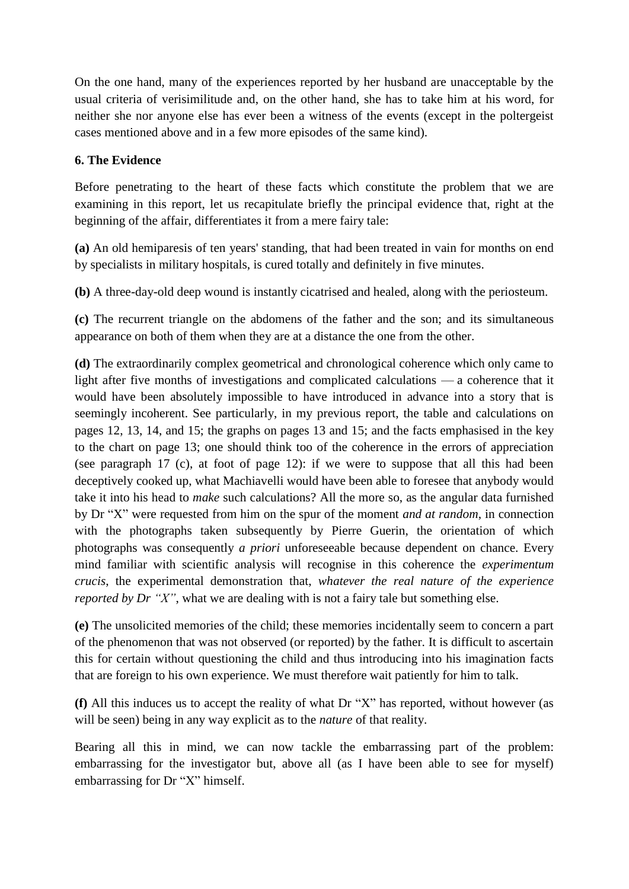On the one hand, many of the experiences reported by her husband are unacceptable by the usual criteria of verisimilitude and, on the other hand, she has to take him at his word, for neither she nor anyone else has ever been a witness of the events (except in the poltergeist cases mentioned above and in a few more episodes of the same kind).

#### **6. The Evidence**

Before penetrating to the heart of these facts which constitute the problem that we are examining in this report, let us recapitulate briefly the principal evidence that, right at the beginning of the affair, differentiates it from a mere fairy tale:

**(a)** An old hemiparesis of ten years' standing, that had been treated in vain for months on end by specialists in military hospitals, is cured totally and definitely in five minutes.

**(b)** A three-day-old deep wound is instantly cicatrised and healed, along with the periosteum.

**(c)** The recurrent triangle on the abdomens of the father and the son; and its simultaneous appearance on both of them when they are at a distance the one from the other.

**(d)** The extraordinarily complex geometrical and chronological coherence which only came to light after five months of investigations and complicated calculations — a coherence that it would have been absolutely impossible to have introduced in advance into a story that is seemingly incoherent. See particularly, in my previous report, the table and calculations on pages 12, 13, 14, and 15; the graphs on pages 13 and 15; and the facts emphasised in the key to the chart on page 13; one should think too of the coherence in the errors of appreciation (see paragraph 17 (c), at foot of page 12): if we were to suppose that all this had been deceptively cooked up, what Machiavelli would have been able to foresee that anybody would take it into his head to *make* such calculations? All the more so, as the angular data furnished by Dr "X" were requested from him on the spur of the moment *and at random*, in connection with the photographs taken subsequently by Pierre Guerin, the orientation of which photographs was consequently *a priori* unforeseeable because dependent on chance. Every mind familiar with scientific analysis will recognise in this coherence the *experimentum crucis*, the experimental demonstration that, *whatever the real nature of the experience reported by Dr "X"*, what we are dealing with is not a fairy tale but something else.

**(e)** The unsolicited memories of the child; these memories incidentally seem to concern a part of the phenomenon that was not observed (or reported) by the father. It is difficult to ascertain this for certain without questioning the child and thus introducing into his imagination facts that are foreign to his own experience. We must therefore wait patiently for him to talk.

**(f)** All this induces us to accept the reality of what Dr "X" has reported, without however (as will be seen) being in any way explicit as to the *nature* of that reality.

Bearing all this in mind, we can now tackle the embarrassing part of the problem: embarrassing for the investigator but, above all (as I have been able to see for myself) embarrassing for Dr "X" himself.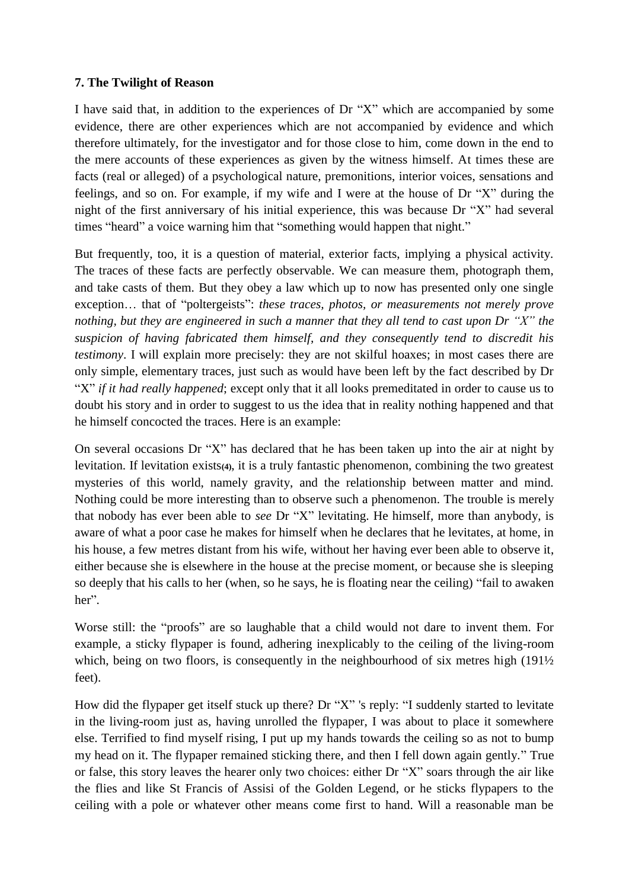#### **7. The Twilight of Reason**

I have said that, in addition to the experiences of Dr "X" which are accompanied by some evidence, there are other experiences which are not accompanied by evidence and which therefore ultimately, for the investigator and for those close to him, come down in the end to the mere accounts of these experiences as given by the witness himself. At times these are facts (real or alleged) of a psychological nature, premonitions, interior voices, sensations and feelings, and so on. For example, if my wife and I were at the house of Dr "X" during the night of the first anniversary of his initial experience, this was because Dr "X" had several times "heard" a voice warning him that "something would happen that night."

But frequently, too, it is a question of material, exterior facts, implying a physical activity. The traces of these facts are perfectly observable. We can measure them, photograph them, and take casts of them. But they obey a law which up to now has presented only one single exception… that of "poltergeists": *these traces, photos, or measurements not merely prove nothing, but they are engineered in such a manner that they all tend to cast upon Dr "X" the suspicion of having fabricated them himself, and they consequently tend to discredit his testimony*. I will explain more precisely: they are not skilful hoaxes; in most cases there are only simple, elementary traces, just such as would have been left by the fact described by Dr "X" *if it had really happened*; except only that it all looks premeditated in order to cause us to doubt his story and in order to suggest to us the idea that in reality nothing happened and that he himself concocted the traces. Here is an example:

On several occasions Dr "X" has declared that he has been taken up into the air at night by levitation. If levitation exists**(4)**, it is a truly fantastic phenomenon, combining the two greatest mysteries of this world, namely gravity, and the relationship between matter and mind. Nothing could be more interesting than to observe such a phenomenon. The trouble is merely that nobody has ever been able to *see* Dr "X" levitating. He himself, more than anybody, is aware of what a poor case he makes for himself when he declares that he levitates, at home, in his house, a few metres distant from his wife, without her having ever been able to observe it, either because she is elsewhere in the house at the precise moment, or because she is sleeping so deeply that his calls to her (when, so he says, he is floating near the ceiling) "fail to awaken her".

Worse still: the "proofs" are so laughable that a child would not dare to invent them. For example, a sticky flypaper is found, adhering inexplicably to the ceiling of the living-room which, being on two floors, is consequently in the neighbourhood of six metres high (191<sup>1</sup>/<sub>2</sub>) feet).

How did the flypaper get itself stuck up there? Dr "X" 's reply: "I suddenly started to levitate in the living-room just as, having unrolled the flypaper, I was about to place it somewhere else. Terrified to find myself rising, I put up my hands towards the ceiling so as not to bump my head on it. The flypaper remained sticking there, and then I fell down again gently." True or false, this story leaves the hearer only two choices: either Dr "X" soars through the air like the flies and like St Francis of Assisi of the Golden Legend, or he sticks flypapers to the ceiling with a pole or whatever other means come first to hand. Will a reasonable man be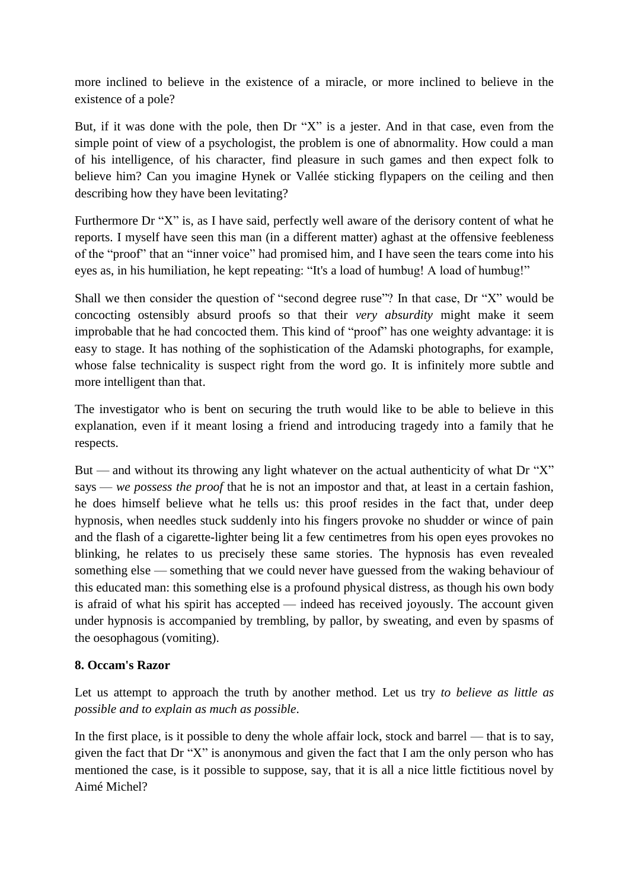more inclined to believe in the existence of a miracle, or more inclined to believe in the existence of a pole?

But, if it was done with the pole, then Dr "X" is a jester. And in that case, even from the simple point of view of a psychologist, the problem is one of abnormality. How could a man of his intelligence, of his character, find pleasure in such games and then expect folk to believe him? Can you imagine Hynek or Vallée sticking flypapers on the ceiling and then describing how they have been levitating?

Furthermore Dr "X" is, as I have said, perfectly well aware of the derisory content of what he reports. I myself have seen this man (in a different matter) aghast at the offensive feebleness of the "proof" that an "inner voice" had promised him, and I have seen the tears come into his eyes as, in his humiliation, he kept repeating: "It's a load of humbug! A load of humbug!"

Shall we then consider the question of "second degree ruse"? In that case, Dr "X" would be concocting ostensibly absurd proofs so that their *very absurdity* might make it seem improbable that he had concocted them. This kind of "proof" has one weighty advantage: it is easy to stage. It has nothing of the sophistication of the Adamski photographs, for example, whose false technicality is suspect right from the word go. It is infinitely more subtle and more intelligent than that.

The investigator who is bent on securing the truth would like to be able to believe in this explanation, even if it meant losing a friend and introducing tragedy into a family that he respects.

But — and without its throwing any light whatever on the actual authenticity of what Dr " $X$ " says — *we possess the proof* that he is not an impostor and that, at least in a certain fashion, he does himself believe what he tells us: this proof resides in the fact that, under deep hypnosis, when needles stuck suddenly into his fingers provoke no shudder or wince of pain and the flash of a cigarette-lighter being lit a few centimetres from his open eyes provokes no blinking, he relates to us precisely these same stories. The hypnosis has even revealed something else — something that we could never have guessed from the waking behaviour of this educated man: this something else is a profound physical distress, as though his own body is afraid of what his spirit has accepted — indeed has received joyously. The account given under hypnosis is accompanied by trembling, by pallor, by sweating, and even by spasms of the oesophagous (vomiting).

# **8. Occam's Razor**

Let us attempt to approach the truth by another method. Let us try *to believe as little as possible and to explain as much as possible*.

In the first place, is it possible to deny the whole affair lock, stock and barrel — that is to say, given the fact that Dr "X" is anonymous and given the fact that I am the only person who has mentioned the case, is it possible to suppose, say, that it is all a nice little fictitious novel by Aimé Michel?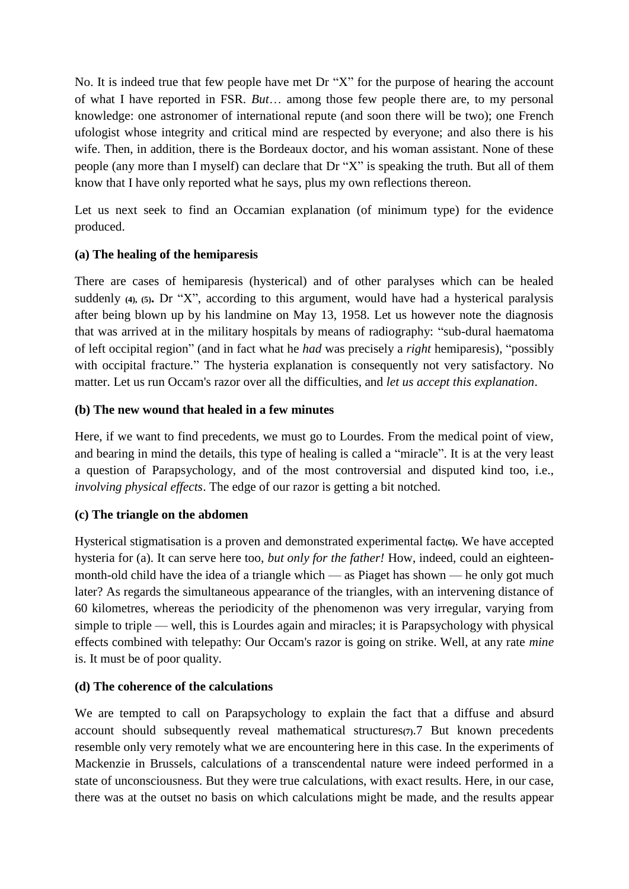No. It is indeed true that few people have met Dr "X" for the purpose of hearing the account of what I have reported in FSR. *But*… among those few people there are, to my personal knowledge: one astronomer of international repute (and soon there will be two); one French ufologist whose integrity and critical mind are respected by everyone; and also there is his wife. Then, in addition, there is the Bordeaux doctor, and his woman assistant. None of these people (any more than I myself) can declare that Dr "X" is speaking the truth. But all of them know that I have only reported what he says, plus my own reflections thereon.

Let us next seek to find an Occamian explanation (of minimum type) for the evidence produced.

# **(a) The healing of the hemiparesis**

There are cases of hemiparesis (hysterical) and of other paralyses which can be healed suddenly **(4), (5).** Dr "X", according to this argument, would have had a hysterical paralysis after being blown up by his landmine on May 13, 1958. Let us however note the diagnosis that was arrived at in the military hospitals by means of radiography: "sub-dural haematoma of left occipital region" (and in fact what he *had* was precisely a *right* hemiparesis), "possibly with occipital fracture." The hysteria explanation is consequently not very satisfactory. No matter. Let us run Occam's razor over all the difficulties, and *let us accept this explanation*.

# **(b) The new wound that healed in a few minutes**

Here, if we want to find precedents, we must go to Lourdes. From the medical point of view, and bearing in mind the details, this type of healing is called a "miracle". It is at the very least a question of Parapsychology, and of the most controversial and disputed kind too, i.e., *involving physical effects*. The edge of our razor is getting a bit notched.

# **(c) The triangle on the abdomen**

Hysterical stigmatisation is a proven and demonstrated experimental fact**(6)**. We have accepted hysteria for (a). It can serve here too, *but only for the father!* How, indeed, could an eighteenmonth-old child have the idea of a triangle which — as Piaget has shown — he only got much later? As regards the simultaneous appearance of the triangles, with an intervening distance of 60 kilometres, whereas the periodicity of the phenomenon was very irregular, varying from simple to triple — well, this is Lourdes again and miracles; it is Parapsychology with physical effects combined with telepathy: Our Occam's razor is going on strike. Well, at any rate *mine* is. It must be of poor quality.

# **(d) The coherence of the calculations**

We are tempted to call on Parapsychology to explain the fact that a diffuse and absurd account should subsequently reveal mathematical structures**(7)**.7 But known precedents resemble only very remotely what we are encountering here in this case. In the experiments of Mackenzie in Brussels, calculations of a transcendental nature were indeed performed in a state of unconsciousness. But they were true calculations, with exact results. Here, in our case, there was at the outset no basis on which calculations might be made, and the results appear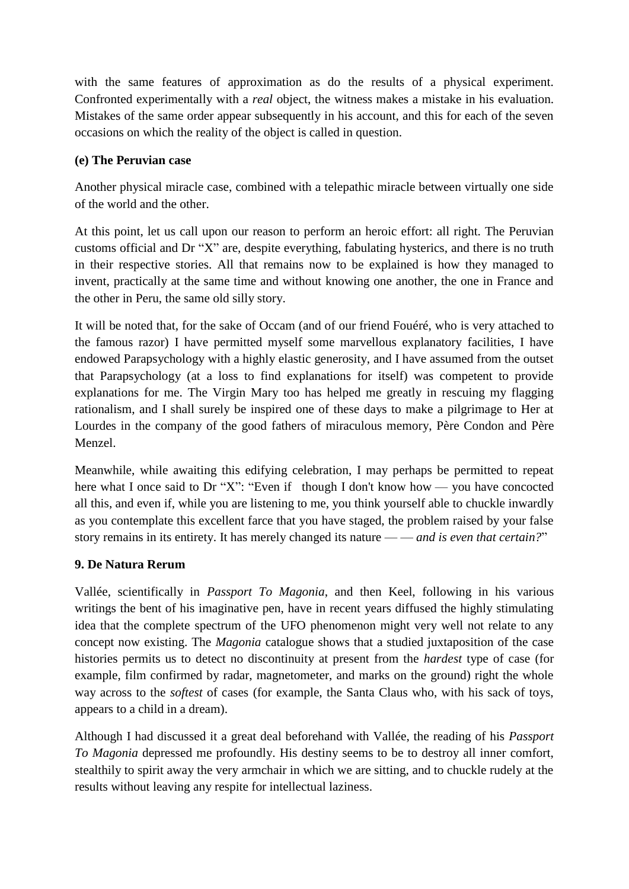with the same features of approximation as do the results of a physical experiment. Confronted experimentally with a *real* object, the witness makes a mistake in his evaluation. Mistakes of the same order appear subsequently in his account, and this for each of the seven occasions on which the reality of the object is called in question.

#### **(e) The Peruvian case**

Another physical miracle case, combined with a telepathic miracle between virtually one side of the world and the other.

At this point, let us call upon our reason to perform an heroic effort: all right. The Peruvian customs official and Dr "X" are, despite everything, fabulating hysterics, and there is no truth in their respective stories. All that remains now to be explained is how they managed to invent, practically at the same time and without knowing one another, the one in France and the other in Peru, the same old silly story.

It will be noted that, for the sake of Occam (and of our friend Fouéré, who is very attached to the famous razor) I have permitted myself some marvellous explanatory facilities, I have endowed Parapsychology with a highly elastic generosity, and I have assumed from the outset that Parapsychology (at a loss to find explanations for itself) was competent to provide explanations for me. The Virgin Mary too has helped me greatly in rescuing my flagging rationalism, and I shall surely be inspired one of these days to make a pilgrimage to Her at Lourdes in the company of the good fathers of miraculous memory, Père Condon and Père Menzel.

Meanwhile, while awaiting this edifying celebration, I may perhaps be permitted to repeat here what I once said to Dr "X": "Even if though I don't know how — you have concocted all this, and even if, while you are listening to me, you think yourself able to chuckle inwardly as you contemplate this excellent farce that you have staged, the problem raised by your false story remains in its entirety. It has merely changed its nature — — *and is even that certain?*"

# **9. De Natura Rerum**

Vallée, scientifically in *Passport To Magonia*, and then Keel, following in his various writings the bent of his imaginative pen, have in recent years diffused the highly stimulating idea that the complete spectrum of the UFO phenomenon might very well not relate to any concept now existing. The *Magonia* catalogue shows that a studied juxtaposition of the case histories permits us to detect no discontinuity at present from the *hardest* type of case (for example, film confirmed by radar, magnetometer, and marks on the ground) right the whole way across to the *softest* of cases (for example, the Santa Claus who, with his sack of toys, appears to a child in a dream).

Although I had discussed it a great deal beforehand with Vallée, the reading of his *Passport To Magonia* depressed me profoundly. His destiny seems to be to destroy all inner comfort, stealthily to spirit away the very armchair in which we are sitting, and to chuckle rudely at the results without leaving any respite for intellectual laziness.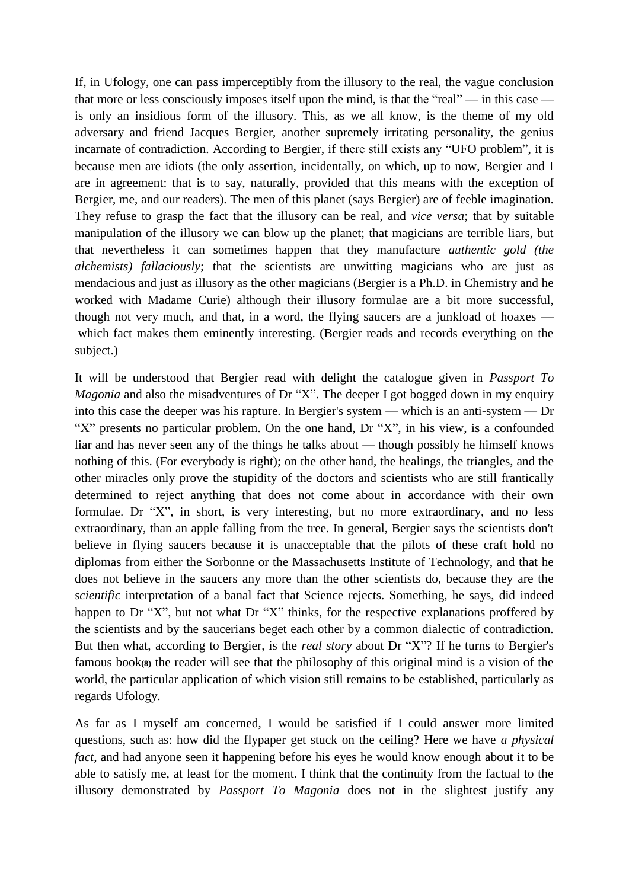If, in Ufology, one can pass imperceptibly from the illusory to the real, the vague conclusion that more or less consciously imposes itself upon the mind, is that the "real" — in this case is only an insidious form of the illusory. This, as we all know, is the theme of my old adversary and friend Jacques Bergier, another supremely irritating personality, the genius incarnate of contradiction. According to Bergier, if there still exists any "UFO problem", it is because men are idiots (the only assertion, incidentally, on which, up to now, Bergier and I are in agreement: that is to say, naturally, provided that this means with the exception of Bergier, me, and our readers). The men of this planet (says Bergier) are of feeble imagination. They refuse to grasp the fact that the illusory can be real, and *vice versa*; that by suitable manipulation of the illusory we can blow up the planet; that magicians are terrible liars, but that nevertheless it can sometimes happen that they manufacture *authentic gold (the alchemists) fallaciously*; that the scientists are unwitting magicians who are just as mendacious and just as illusory as the other magicians (Bergier is a Ph.D. in Chemistry and he worked with Madame Curie) although their illusory formulae are a bit more successful, though not very much, and that, in a word, the flying saucers are a junkload of hoaxes which fact makes them eminently interesting. (Bergier reads and records everything on the subject.)

It will be understood that Bergier read with delight the catalogue given in *Passport To Magonia* and also the misadventures of Dr "X". The deeper I got bogged down in my enquiry into this case the deeper was his rapture. In Bergier's system — which is an anti-system — Dr "X" presents no particular problem. On the one hand, Dr "X", in his view, is a confounded liar and has never seen any of the things he talks about — though possibly he himself knows nothing of this. (For everybody is right); on the other hand, the healings, the triangles, and the other miracles only prove the stupidity of the doctors and scientists who are still frantically determined to reject anything that does not come about in accordance with their own formulae. Dr "X", in short, is very interesting, but no more extraordinary, and no less extraordinary, than an apple falling from the tree. In general, Bergier says the scientists don't believe in flying saucers because it is unacceptable that the pilots of these craft hold no diplomas from either the Sorbonne or the Massachusetts Institute of Technology, and that he does not believe in the saucers any more than the other scientists do, because they are the *scientific* interpretation of a banal fact that Science rejects. Something, he says, did indeed happen to Dr "X", but not what Dr "X" thinks, for the respective explanations proffered by the scientists and by the saucerians beget each other by a common dialectic of contradiction. But then what, according to Bergier, is the *real story* about Dr "X"? If he turns to Bergier's famous book**(8)** the reader will see that the philosophy of this original mind is a vision of the world, the particular application of which vision still remains to be established, particularly as regards Ufology.

As far as I myself am concerned, I would be satisfied if I could answer more limited questions, such as: how did the flypaper get stuck on the ceiling? Here we have *a physical fact*, and had anyone seen it happening before his eyes he would know enough about it to be able to satisfy me, at least for the moment. I think that the continuity from the factual to the illusory demonstrated by *Passport To Magonia* does not in the slightest justify any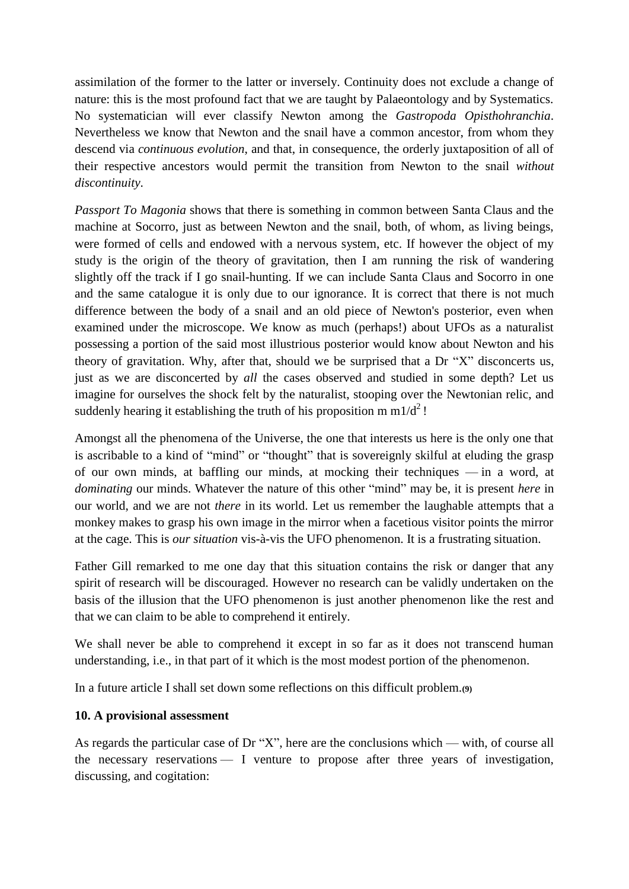assimilation of the former to the latter or inversely. Continuity does not exclude a change of nature: this is the most profound fact that we are taught by Palaeontology and by Systematics. No systematician will ever classify Newton among the *Gastropoda Opisthohranchia*. Nevertheless we know that Newton and the snail have a common ancestor, from whom they descend via *continuous evolution*, and that, in consequence, the orderly juxtaposition of all of their respective ancestors would permit the transition from Newton to the snail *without discontinuity*.

*Passport To Magonia* shows that there is something in common between Santa Claus and the machine at Socorro, just as between Newton and the snail, both, of whom, as living beings, were formed of cells and endowed with a nervous system, etc. If however the object of my study is the origin of the theory of gravitation, then I am running the risk of wandering slightly off the track if I go snail-hunting. If we can include Santa Claus and Socorro in one and the same catalogue it is only due to our ignorance. It is correct that there is not much difference between the body of a snail and an old piece of Newton's posterior, even when examined under the microscope. We know as much (perhaps!) about UFOs as a naturalist possessing a portion of the said most illustrious posterior would know about Newton and his theory of gravitation. Why, after that, should we be surprised that a Dr "X" disconcerts us, just as we are disconcerted by *all* the cases observed and studied in some depth? Let us imagine for ourselves the shock felt by the naturalist, stooping over the Newtonian relic, and suddenly hearing it establishing the truth of his proposition m m1/d<sup>2</sup>!

Amongst all the phenomena of the Universe, the one that interests us here is the only one that is ascribable to a kind of "mind" or "thought" that is sovereignly skilful at eluding the grasp of our own minds, at baffling our minds, at mocking their techniques — in a word, at *dominating* our minds. Whatever the nature of this other "mind" may be, it is present *here* in our world, and we are not *there* in its world. Let us remember the laughable attempts that a monkey makes to grasp his own image in the mirror when a facetious visitor points the mirror at the cage. This is *our situation* vis-à-vis the UFO phenomenon. It is a frustrating situation.

Father Gill remarked to me one day that this situation contains the risk or danger that any spirit of research will be discouraged. However no research can be validly undertaken on the basis of the illusion that the UFO phenomenon is just another phenomenon like the rest and that we can claim to be able to comprehend it entirely.

We shall never be able to comprehend it except in so far as it does not transcend human understanding, i.e., in that part of it which is the most modest portion of the phenomenon.

In a future article I shall set down some reflections on this difficult problem.**(9)**

#### **10. A provisional assessment**

As regards the particular case of Dr "X", here are the conclusions which — with, of course all the necessary reservations — I venture to propose after three years of investigation, discussing, and cogitation: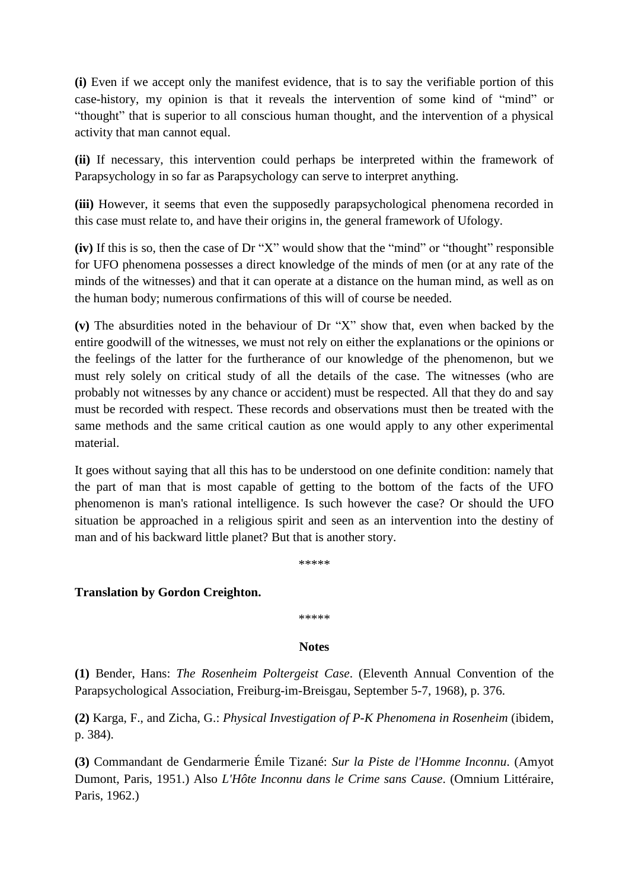**(i)** Even if we accept only the manifest evidence, that is to say the verifiable portion of this case-history, my opinion is that it reveals the intervention of some kind of "mind" or "thought" that is superior to all conscious human thought, and the intervention of a physical activity that man cannot equal.

**(ii)** If necessary, this intervention could perhaps be interpreted within the framework of Parapsychology in so far as Parapsychology can serve to interpret anything.

**(iii)** However, it seems that even the supposedly parapsychological phenomena recorded in this case must relate to, and have their origins in, the general framework of Ufology.

**(iv)** If this is so, then the case of Dr "X" would show that the "mind" or "thought" responsible for UFO phenomena possesses a direct knowledge of the minds of men (or at any rate of the minds of the witnesses) and that it can operate at a distance on the human mind, as well as on the human body; numerous confirmations of this will of course be needed.

**(v)** The absurdities noted in the behaviour of Dr "X" show that, even when backed by the entire goodwill of the witnesses, we must not rely on either the explanations or the opinions or the feelings of the latter for the furtherance of our knowledge of the phenomenon, but we must rely solely on critical study of all the details of the case. The witnesses (who are probably not witnesses by any chance or accident) must be respected. All that they do and say must be recorded with respect. These records and observations must then be treated with the same methods and the same critical caution as one would apply to any other experimental material.

It goes without saying that all this has to be understood on one definite condition: namely that the part of man that is most capable of getting to the bottom of the facts of the UFO phenomenon is man's rational intelligence. Is such however the case? Or should the UFO situation be approached in a religious spirit and seen as an intervention into the destiny of man and of his backward little planet? But that is another story.

\*\*\*\*\*

#### **Translation by Gordon Creighton.**

\*\*\*\*\*

#### **Notes**

**(1)** Bender, Hans: *The Rosenheim Poltergeist Case*. (Eleventh Annual Convention of the Parapsychological Association, Freiburg-im-Breisgau, September 5-7, 1968), p. 376.

**(2)** Karga, F., and Zicha, G.: *Physical Investigation of P-K Phenomena in Rosenheim* (ibidem, p. 384).

**(3)** Commandant de Gendarmerie Émile Tizané: *Sur la Piste de l'Homme Inconnu*. (Amyot Dumont, Paris, 1951.) Also *L'Hôte Inconnu dans le Crime sans Cause*. (Omnium Littéraire, Paris, 1962.)